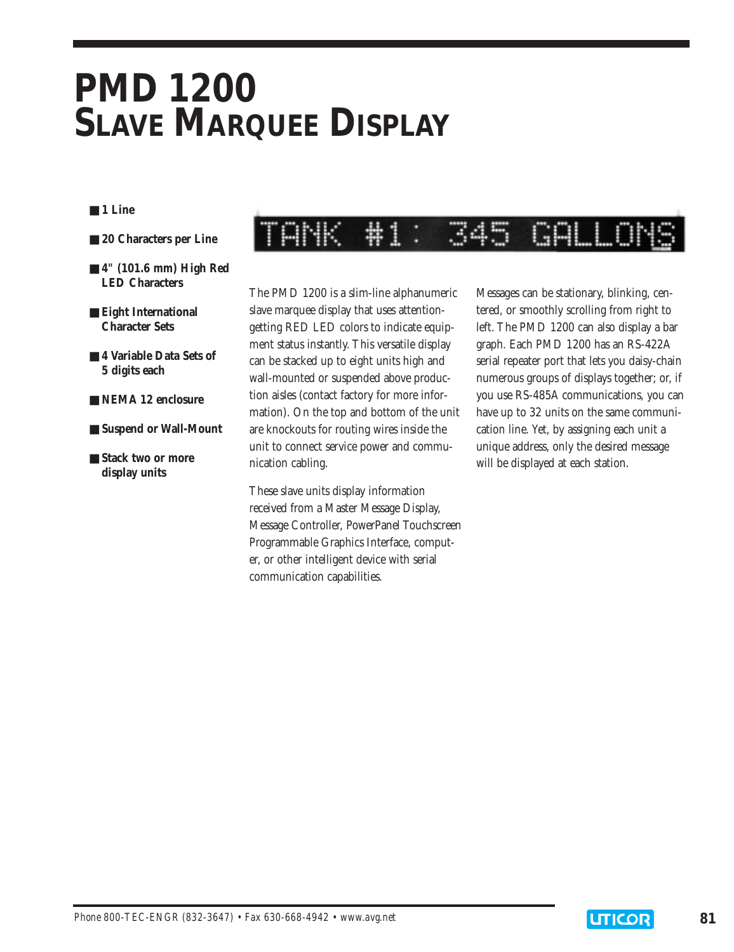# **PMD 1200 SLAVE MARQUEE DISPLAY**

#### ■ **1 Line**

- 20 Characters per Line
- **4" (101.6 mm) High Red LED Characters**
- **Eight International Character Sets**
- 4 Variable Data Sets of **5 digits each**
- **NEMA 12 enclosure**
- **Suspend or Wall-Mount**
- **Stack two or more display units**

#### ⋕ 1 GALLO

The PMD 1200 is a slim-line alphanumeric slave marquee display that uses attentiongetting RED LED colors to indicate equipment status instantly. This versatile display can be stacked up to eight units high and wall-mounted or suspended above production aisles (contact factory for more information). On the top and bottom of the unit are knockouts for routing wires inside the unit to connect service power and communication cabling.

These slave units display information received from a Master Message Display, Message Controller, PowerPanel Touchscreen Programmable Graphics Interface, computer, or other intelligent device with serial communication capabilities.

Messages can be stationary, blinking, centered, or smoothly scrolling from right to left. The PMD 1200 can also display a bar graph. Each PMD 1200 has an RS-422A serial repeater port that lets you daisy-chain numerous groups of displays together; or, if you use RS-485A communications, you can have up to 32 units on the same communication line. Yet, by assigning each unit a unique address, only the desired message will be displayed at each station.